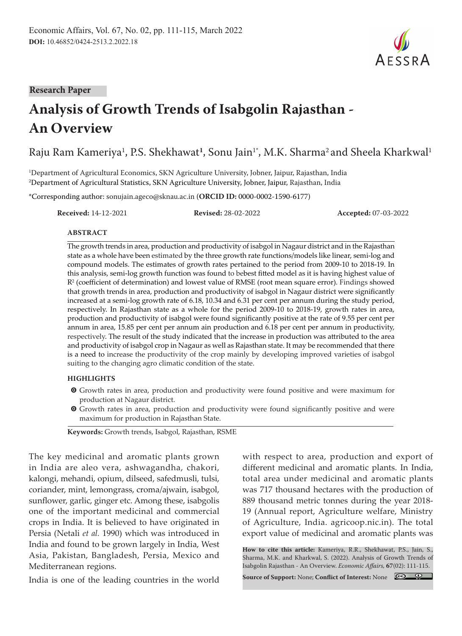**Research Paper**

# **Analysis of Growth Trends of Isabgolin Rajasthan - An Overview**

Raju Ram Kameriya<sup>1</sup>, P.S. Shekhawat<sup>1</sup>, Sonu Jain<sup>1</sup>\*, M.K. Sharma<sup>2</sup> and Sheela Kharkwal<sup>1</sup>

1 Department of Agricultural Economics, SKN Agriculture University, Jobner, Jaipur, Rajasthan, India 2 Department of Agricultural Statistics, SKN Agriculture University, Jobner, Jaipur, Rajasthan, India

\*Corresponding author: sonujain.ageco@sknau.ac.in (**ORCID ID:** 0000-0002-1590-6177)

**Received:** 14-12-2021 **Revised:** 28-02-2022 **Accepted:** 07-03-2022

#### **ABSTRACT**

The growth trends in area, production and productivity of isabgol in Nagaur district and in the Rajasthan state as a whole have been estimated by the three growth rate functions/models like linear, semi-log and compound models. The estimates of growth rates pertained to the period from 2009-10 to 2018-19. In this analysis, semi-log growth function was found to bebest fitted model as it is having highest value of  $R<sup>2</sup>$  (coefficient of determination) and lowest value of RMSE (root mean square error). Findings showed that growth trends in area, production and productivity of isabgol in Nagaur district were significantly increased at a semi-log growth rate of 6.18, 10.34 and 6.31 per cent per annum during the study period, respectively. In Rajasthan state as a whole for the period 2009-10 to 2018-19, growth rates in area, production and productivity of isabgol were found significantly positive at the rate of 9.55 per cent per annum in area, 15.85 per cent per annum ain production and 6.18 per cent per annum in productivity, respectively. The result of the study indicated that the increase in production was attributed to the area and productivity of isabgol crop in Nagaur as well as Rajasthan state. It may be recommended that there is a need to increase the productivity of the crop mainly by developing improved varieties of isabgol suiting to the changing agro climatic condition of the state.

#### **HIGHLIGHTS**

- m Growth rates in area, production and productivity were found positive and were maximum for production at Nagaur district.
- **O** Growth rates in area, production and productivity were found significantly positive and were maximum for production in Rajasthan State.

**Keywords:** Growth trends, Isabgol, Rajasthan, RSME

The key medicinal and aromatic plants grown in India are aleo vera, ashwagandha, chakori, kalongi, mehandi, opium, dilseed, safedmusli, tulsi, coriander, mint, lemongrass, croma/ajwain, isabgol, sunflower, garlic, ginger etc. Among these, isabgolis one of the important medicinal and commercial crops in India. It is believed to have originated in Persia (Netali *et al.* 1990) which was introduced in India and found to be grown largely in India, West Asia, Pakistan, Bangladesh, Persia, Mexico and Mediterranean regions.

India is one of the leading countries in the world

with respect to area, production and export of different medicinal and aromatic plants. In India, total area under medicinal and aromatic plants was 717 thousand hectares with the production of 889 thousand metric tonnes during the year 2018- 19 (Annual report, Agriculture welfare, Ministry of Agriculture, India. agricoop.nic.in). The total export value of medicinal and aromatic plants was

**How to cite this article:** Kameriya, R.R., Shekhawat, P.S., Jain, S., Sharma, M.K. and Kharkwal, S. (2022). Analysis of Growth Trends of Isabgolin Rajasthan - An Overview. *Economic Affairs,* **67**(02): 111-115.

**Source of Support:** None; **Conflict of Interest:** None

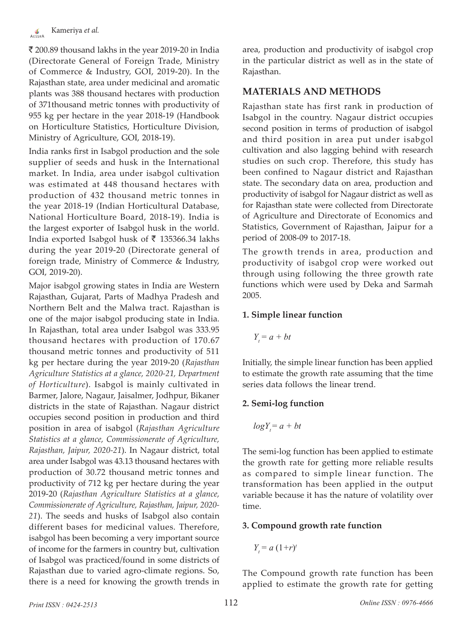$\bar{\mathcal{R}}$  200.89 thousand lakhs in the year 2019-20 in India (Directorate General of Foreign Trade, Ministry of Commerce & Industry, GOI, 2019-20). In the Rajasthan state, area under medicinal and aromatic plants was 388 thousand hectares with production of 371thousand metric tonnes with productivity of 955 kg per hectare in the year 2018-19 (Handbook on Horticulture Statistics, Horticulture Division, Ministry of Agriculture, GOI, 2018-19).

India ranks first in Isabgol production and the sole supplier of seeds and husk in the International market. In India, area under isabgol cultivation was estimated at 448 thousand hectares with production of 432 thousand metric tonnes in the year 2018-19 (Indian Horticultural Database, National Horticulture Board, 2018-19). India is the largest exporter of Isabgol husk in the world. India exported Isabgol husk of  $\bar{\tau}$  135366.34 lakhs during the year 2019-20 (Directorate general of foreign trade, Ministry of Commerce & Industry, GOI, 2019-20).

Major isabgol growing states in India are Western Rajasthan, Gujarat, Parts of Madhya Pradesh and Northern Belt and the Malwa tract. Rajasthan is one of the major isabgol producing state in India. In Rajasthan, total area under Isabgol was 333.95 thousand hectares with production of 170.67 thousand metric tonnes and productivity of 511 kg per hectare during the year 2019-20 (*Rajasthan Agriculture Statistics at a glance, 2020-21, Department of Horticulture*). Isabgol is mainly cultivated in Barmer, Jalore, Nagaur, Jaisalmer, Jodhpur, Bikaner districts in the state of Rajasthan. Nagaur district occupies second position in production and third position in area of isabgol (*Rajasthan Agriculture Statistics at a glance, Commissionerate of Agriculture, Rajasthan, Jaipur, 2020-21*). In Nagaur district, total area under Isabgol was 43.13 thousand hectares with production of 30.72 thousand metric tonnes and productivity of 712 kg per hectare during the year 2019-20 (*Rajasthan Agriculture Statistics at a glance, Commissionerate of Agriculture, Rajasthan, Jaipur, 2020- 21*). The seeds and husks of Isabgol also contain different bases for medicinal values. Therefore, isabgol has been becoming a very important source of income for the farmers in country but, cultivation of Isabgol was practiced/found in some districts of Rajasthan due to varied agro-climate regions. So, there is a need for knowing the growth trends in

area, production and productivity of isabgol crop in the particular district as well as in the state of Rajasthan.

# **MATERIALS AND METHODS**

Rajasthan state has first rank in production of Isabgol in the country. Nagaur district occupies second position in terms of production of isabgol and third position in area put under isabgol cultivation and also lagging behind with research studies on such crop. Therefore, this study has been confined to Nagaur district and Rajasthan state. The secondary data on area, production and productivity of isabgol for Nagaur district as well as for Rajasthan state were collected from Directorate of Agriculture and Directorate of Economics and Statistics, Government of Rajasthan, Jaipur for a period of 2008-09 to 2017-18.

The growth trends in area, production and productivity of isabgol crop were worked out through using following the three growth rate functions which were used by Deka and Sarmah 2005.

## **1. Simple linear function**

$$
Y_t = a + bt
$$

Initially, the simple linear function has been applied to estimate the growth rate assuming that the time series data follows the linear trend.

# **2. Semi-log function**

$$
log Y_t = a + bt
$$

The semi-log function has been applied to estimate the growth rate for getting more reliable results as compared to simple linear function. The transformation has been applied in the output variable because it has the nature of volatility over time.

#### **3. Compound growth rate function**

$$
Y_t = a (1+r)^t
$$

The Compound growth rate function has been applied to estimate the growth rate for getting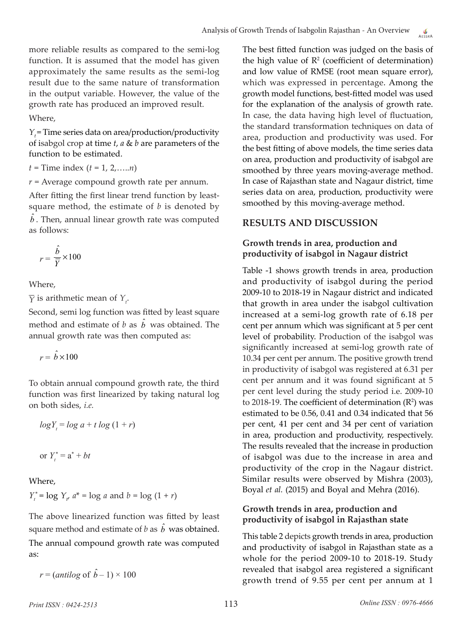more reliable results as compared to the semi-log function. It is assumed that the model has given approximately the same results as the semi-log result due to the same nature of transformation in the output variable. However, the value of the growth rate has produced an improved result.

Where,

*Y*<sub>t</sub> = Time series data on area/production/productivity of isabgol crop at time *t*, *a* & *b* are parameters of the function to be estimated.

*t* = Time index (*t* = 1, 2,…..*n*)

 $r =$  Average compound growth rate per annum.

After fitting the first linear trend function by leastsquare method, the estimate of *b* is denoted by  $\hat{b}$  . Then, annual linear growth rate was computed as follows:

$$
r = \frac{\hat{b}}{\overline{Y}} \times 100
$$

Where,

 $\overline{Y}$  is arithmetic mean of  $Y_t$ .

Second, semi log function was fitted by least square method and estimate of *b* as  $\hat{b}$  was obtained. The annual growth rate was then computed as:

 $r = \hat{b} \times 100$ 

To obtain annual compound growth rate, the third function was first linearized by taking natural log on both sides, *i.e.*

$$
log Y_t = log\ a + t\ log\ (1+r)
$$

or 
$$
Y_t^* = \mathbf{a}^* + bt
$$

Where,

 $Y_t^* = \log Y_t$ ,  $a^* = \log a$  and  $b = \log (1 + r)$ 

The above linearized function was fitted by least square method and estimate of  $b$  as  $\hat{b}$  was obtained. The annual compound growth rate was computed as:

 $r = (antilog \space of \space \hat{b} - 1) \times 100$ 

The best fitted function was judged on the basis of the high value of  $\mathbb{R}^2$  (coefficient of determination) and low value of RMSE (root mean square error), which was expressed in percentage. Among the growth model functions, best-fitted model was used for the explanation of the analysis of growth rate. In case, the data having high level of fluctuation, the standard transformation techniques on data of area, production and productivity was used. For the best fitting of above models, the time series data on area, production and productivity of isabgol are smoothed by three years moving-average method. In case of Rajasthan state and Nagaur district, time series data on area, production, productivity were smoothed by this moving-average method.

# **RESULTS AND DISCUSSION**

## **Growth trends in area, production and productivity of isabgol in Nagaur district**

Table -1 shows growth trends in area, production and productivity of isabgol during the period 2009-10 to 2018-19 in Nagaur district and indicated that growth in area under the isabgol cultivation increased at a semi-log growth rate of 6.18 per cent per annum which was significant at 5 per cent level of probability. Production of the isabgol was significantly increased at semi-log growth rate of 10.34 per cent per annum. The positive growth trend in productivity of isabgol was registered at 6.31 per cent per annum and it was found significant at 5 per cent level during the study period i.e. 2009-10 to 2018-19. The coefficient of determination  $(R^2)$  was estimated to be 0.56, 0.41 and 0.34 indicated that 56 per cent, 41 per cent and 34 per cent of variation in area, production and productivity, respectively. The results revealed that the increase in production of isabgol was due to the increase in area and productivity of the crop in the Nagaur district. Similar results were observed by Mishra (2003), Boyal *et al.* (2015) and Boyal and Mehra (2016).

# **Growth trends in area, production and productivity of isabgol in Rajasthan state**

This table 2 depicts growth trends in area, production and productivity of isabgol in Rajasthan state as a whole for the period 2009-10 to 2018-19. Study revealed that isabgol area registered a significant growth trend of 9.55 per cent per annum at 1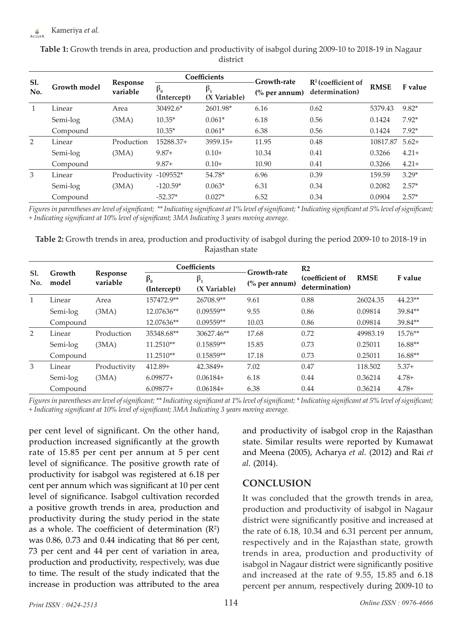| Sl.<br>No. | Growth model | Response<br>variable | Coefficients             |                             | Growth-rate              |                                                  |             |          |
|------------|--------------|----------------------|--------------------------|-----------------------------|--------------------------|--------------------------------------------------|-------------|----------|
|            |              |                      | $\beta_0$<br>(Intercept) | $\beta_{1}$<br>(X Variable) | $\frac{6}{6}$ per annum) | $\mathbb{R}^2$ (coefficient of<br>determination) | <b>RMSE</b> | F value  |
|            | Linear       | Area                 | $30492.6*$               | 2601.98*                    | 6.16                     | 0.62                                             | 5379.43     | $9.82*$  |
|            | Semi-log     | (3MA)                | $10.35*$                 | $0.061*$                    | 6.18                     | 0.56                                             | 0.1424      | $7.92*$  |
|            | Compound     |                      | $10.35*$                 | $0.061*$                    | 6.38                     | 0.56                                             | 0.1424      | $7.92*$  |
| 2          | Linear       | Production           | 15288.37+                | $3959.15+$                  | 11.95                    | 0.48                                             | 10817.87    | $5.62+$  |
|            | Semi-log     | (3MA)                | $9.87+$                  | $0.10+$                     | 10.34                    | 0.41                                             | 0.3266      | $4.21+$  |
|            | Compound     |                      | $9.87+$                  | $0.10+$                     | 10.90                    | 0.41                                             | 0.3266      | $4.21 +$ |
| 3          | Linear       | Productivity         | $-109552*$               | 54.78*                      | 6.96                     | 0.39                                             | 159.59      | $3.29*$  |
|            | Semi-log     | (3MA)                | $-120.59*$               | $0.063*$                    | 6.31                     | 0.34                                             | 0.2082      | $2.57*$  |
|            | Compound     |                      | $-52.37*$                | $0.027*$                    | 6.52                     | 0.34                                             | 0.0904      | $2.57*$  |

**Table 1:** Growth trends in area, production and productivity of isabgol during 2009-10 to 2018-19 in Nagaur district

*Figures in parentheses are level of significant; \*\* Indicating significant at 1% level of significant; \* Indicating significant at 5% level of significant; + Indicating significant at 10% level of significant; 3MA Indicating 3 years moving average.*

**Table 2:** Growth trends in area, production and productivity of isabgol during the period 2009-10 to 2018-19 in Rajasthan state

| Sl.<br>No. | Growth<br>model | Response<br>variable | Coefficients             |                           | <b>Growth-rate</b>       | R <sub>2</sub>                    |             |           |
|------------|-----------------|----------------------|--------------------------|---------------------------|--------------------------|-----------------------------------|-------------|-----------|
|            |                 |                      | $\beta_0$<br>(Intercept) | $\beta_1$<br>(X Variable) | $\frac{6}{6}$ per annum) | (coefficient of<br>determination) | <b>RMSE</b> | F value   |
| 1          | Linear          | Area                 | 157472.9**               | 26708.9**                 | 9.61                     | 0.88                              | 26024.35    | $44.23**$ |
|            | Semi-log        | (3MA)                | 12.07636**               | $0.09559**$               | 9.55                     | 0.86                              | 0.09814     | 39.84**   |
|            | Compound        |                      | 12.07636**               | $0.09559**$               | 10.03                    | 0.86                              | 0.09814     | 39.84**   |
| 2          | Linear          | Production           | 35348.68**               | 30627.46**                | 17.68                    | 0.72                              | 49983.19    | 15.76**   |
|            | Semi-log        | (3MA)                | 11.2510**                | $0.15859**$               | 15.85                    | 0.73                              | 0.25011     | 16.88**   |
|            | Compound        |                      | 11.2510**                | $0.15859**$               | 17.18                    | 0.73                              | 0.25011     | 16.88**   |
| 3          | Linear          | Productivity         | $412.89+$                | 42.3849+                  | 7.02                     | 0.47                              | 118.502     | $5.37+$   |
|            | Semi-log        | (3MA)                | $6.09877+$               | $0.06184+$                | 6.18                     | 0.44                              | 0.36214     | $4.78+$   |
|            | Compound        |                      | $6.09877+$               | $0.06184+$                | 6.38                     | 0.44                              | 0.36214     | $4.78+$   |

*Figures in parentheses are level of significant; \*\* Indicating significant at 1% level of significant; \* Indicating significant at 5% level of significant; + Indicating significant at 10% level of significant; 3MA Indicating 3 years moving average.*

per cent level of significant. On the other hand, production increased significantly at the growth rate of 15.85 per cent per annum at 5 per cent level of significance. The positive growth rate of productivity for isabgol was registered at 6.18 per cent per annum which was significant at 10 per cent level of significance. Isabgol cultivation recorded a positive growth trends in area, production and productivity during the study period in the state as a whole. The coefficient of determination  $(R^2)$ was 0.86, 0.73 and 0.44 indicating that 86 per cent, 73 per cent and 44 per cent of variation in area, production and productivity, respectively, was due to time. The result of the study indicated that the increase in production was attributed to the area

and productivity of isabgol crop in the Rajasthan state. Similar results were reported by Kumawat and Meena (2005), Acharya *et al.* (2012) and Rai *et al.* (2014).

# **CONCLUSION**

It was concluded that the growth trends in area, production and productivity of isabgol in Nagaur district were significantly positive and increased at the rate of 6.18, 10.34 and 6.31 percent per annum, respectively and in the Rajasthan state, growth trends in area, production and productivity of isabgol in Nagaur district were significantly positive and increased at the rate of 9.55, 15.85 and 6.18 percent per annum, respectively during 2009-10 to